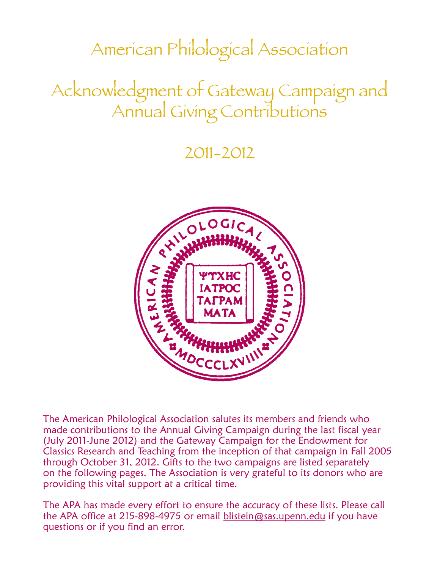American Philological Association

Acknowledgment of Gateway Campaign and Annual Giving Contributions

2011-2012



The American Philological Association salutes its members and friends who made contributions to the Annual Giving Campaign during the last fiscal year (July 2011-June 2012) and the Gateway Campaign for the Endowment for Classics Research and Teaching from the inception of that campaign in Fall 2005 through October 31, 2012. Gifts to the two campaigns are listed separately on the following pages. The Association is very grateful to its donors who are providing this vital support at a critical time.

The APA has made every effort to ensure the accuracy of these lists. Please call the APA office at 215-898-4975 or email blistein@sas.upenn.edu if you have questions or if you find an error.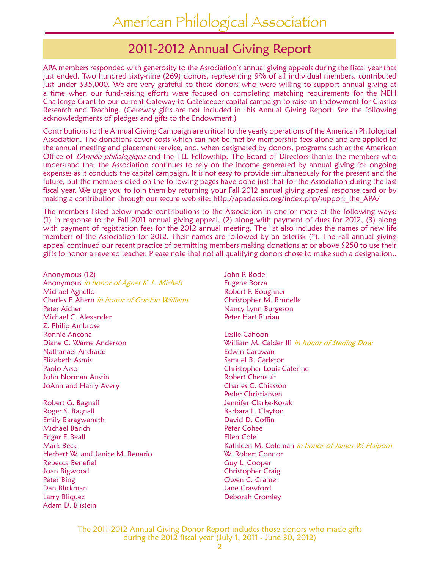## 2011-2012 Annual Giving Report

APA members responded with generosity to the Association's annual giving appeals during the fiscal year that just ended. Two hundred sixty-nine (269) donors, representing 9% of all individual members, contributed just under \$35,000. We are very grateful to these donors who were willing to support annual giving at a time when our fund-raising efforts were focused on completing matching requirements for the NEH Challenge Grant to our current Gateway to Gatekeeper capital campaign to raise an Endowment for Classics Research and Teaching. (Gateway gifts are not included in this Annual Giving Report. See the following acknowledgments of pledges and gifts to the Endowment.)

Contributions to the Annual Giving Campaign are critical to the yearly operations of the American Philological Association. The donations cover costs which can not be met by membership fees alone and are applied to the annual meeting and placement service, and, when designated by donors, programs such as the American Office of L'Année philologique and the TLL Fellowship. The Board of Directors thanks the members who understand that the Association continues to rely on the income generated by annual giving for ongoing expenses as it conducts the capital campaign. It is not easy to provide simultaneously for the present and the future, but the members cited on the following pages have done just that for the Association during the last fiscal year. We urge you to join them by returning your Fall 2012 annual giving appeal response card or by making a contribution through our secure web site: http://apaclassics.org/index.php/support\_the\_APA/

The members listed below made contributions to the Association in one or more of the following ways: (1) in response to the Fall 2011 annual giving appeal, (2) along with payment of dues for 2012, (3) along with payment of registration fees for the 2012 annual meeting. The list also includes the names of new life members of the Association for 2012. Their names are followed by an asterisk (\*). The Fall annual giving appeal continued our recent practice of permitting members making donations at or above \$250 to use their gifts to honor a revered teacher. Please note that not all qualifying donors chose to make such a designation..

Anonymous (12) Anonymous in honor of Agnes K. L. Michels Michael Agnello Charles F. Ahern in honor of Gordon Williams Peter Aicher Michael C. Alexander Z. Philip Ambrose Ronnie Ancona Diane C. Warne Anderson Nathanael Andrade Elizabeth Asmis Paolo Asso John Norman Austin JoAnn and Harry Avery

Robert G. Bagnall Roger S. Bagnall Emily Baragwanath Michael Barich Edgar F. Beall Mark Beck Herbert W. and Janice M. Benario Rebecca Benefiel Joan Bigwood Peter Bing Dan Blickman Larry Bliquez Adam D. Blistein

John P. Bodel Eugene Borza Robert F. Boughner Christopher M. Brunelle Nancy Lynn Burgeson Peter Hart Burian

Leslie Cahoon William M. Calder III in honor of Sterling Dow Edwin Carawan Samuel B. Carleton Christopher Louis Caterine Robert Chenault Charles C. Chiasson Peder Christiansen Jennifer Clarke-Kosak Barbara L. Clayton David D. Coffin Peter Cohee Ellen Cole Kathleen M. Coleman in honor of James W. Halporn W. Robert Connor Guy L. Cooper Christopher Craig Owen C. Cramer Jane Crawford Deborah Cromley

The 2011-2012 Annual Giving Donor Report includes those donors who made gifts during the 2012 fiscal year (July 1, 2011 - June 30, 2012)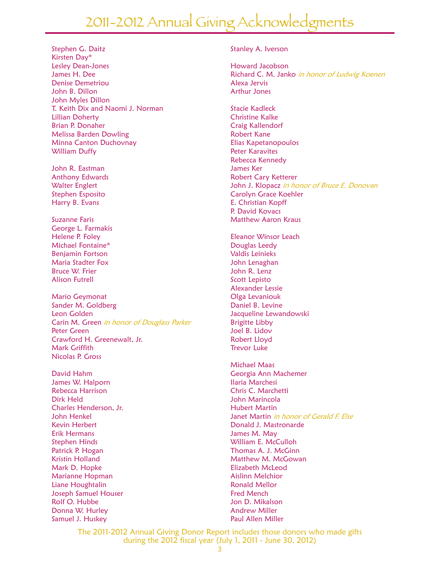Stephen G. Daitz Kirsten Day\* Lesley Dean-Jones James H. Dee Denise Demetriou John B. Dillon John Myles Dillon T. Keith Dix and Naomi J. Norman Lillian Doherty Brian P. Donaher Melissa Barden Dowling Minna Canton Duchovnay William Duffy

John R. Eastman Anthony Edwards Walter Englert Stephen Esposito Harry B. Evans

Suzanne Faris George L. Farmakis Helene P. Foley Michael Fontaine\* Benjamin Fortson Maria Stadter Fox Bruce W. Frier Alison Futrell

Mario Geymonat Sander M. Goldberg Leon Golden Carin M. Green in honor of Douglass Parker Peter Green Crawford H. Greenewalt, Jr. Mark Griffith Nicolas P. Gross

David Hahm James W. Halporn Rebecca Harrison Dirk Held Charles Henderson, Jr. John Henkel Kevin Herbert Erik Hermans Stephen Hinds Patrick P. Hogan Kristin Holland Mark D. Hopke Marianne Hopman Liane Houghtalin Joseph Samuel Houser Rolf O. Hubbe Donna W. Hurley Samuel J. Huskey

#### Stanley A. Iverson

Howard Jacobson Richard C. M. Janko in honor of Ludwig Koenen Alexa Jervis Arthur Jones

Stacie Kadleck Christine Kalke Craig Kallendorf Robert Kane Elias Kapetanopoulos Peter Karavites Rebecca Kennedy James Ker Robert Cary Ketterer John J. Klopacz in honor of Bruce E. Donovan Carolyn Grace Koehler E. Christian Kopff P. David Kovacs Matthew Aaron Kraus

Eleanor Winsor Leach Douglas Leedy Valdis Leinieks John Lenaghan John R. Lenz Scott Lepisto Alexander Lessie Olga Levaniouk Daniel B. Levine Jacqueline Lewandowski Brigitte Libby Joel B. Lidov Robert Lloyd Trevor Luke

Michael Maas Georgia Ann Machemer Ilaria Marchesi Chris C. Marchetti John Marincola Hubert Martin Janet Martin in honor of Gerald F. Else Donald J. Mastronarde James M. May William E. McCulloh Thomas A. J. McGinn Matthew M. McGowan Elizabeth McLeod Aislinn Melchior Ronald Mellor Fred Mench Jon D. Mikalson Andrew Miller Paul Allen Miller

The 2011-2012 Annual Giving Donor Report includes those donors who made gifts during the 2012 fiscal year (July 1, 2011 - June 30, 2012)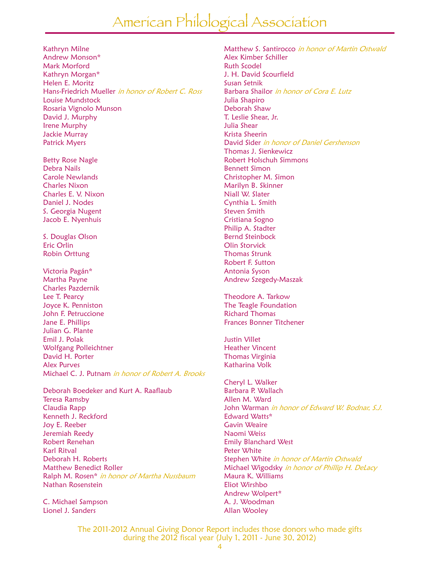Kathryn Milne Andrew Monson\* Mark Morford Kathryn Morgan\* Helen E. Moritz Hans-Friedrich Mueller in honor of Robert C. Ross Louise Mundstock Rosaria Vignolo Munson David J. Murphy Irene Murphy Jackie Murray Patrick Myers

Betty Rose Nagle Debra Nails Carole Newlands Charles Nixon Charles E. V. Nixon Daniel J. Nodes S. Georgia Nugent Jacob E. Nyenhuis

S. Douglas Olson Eric Orlin Robin Orttung

Victoria Pagán\* Martha Payne Charles Pazdernik Lee T. Pearcy Joyce K. Penniston John F. Petruccione Jane E. Phillips Julian G. Plante Emil J. Polak Wolfgang Polleichtner David H. Porter Alex Purves Michael C. J. Putnam in honor of Robert A. Brooks

Deborah Boedeker and Kurt A. Raaflaub Teresa Ramsby Claudia Rapp Kenneth J. Reckford Joy E. Reeber Jeremiah Reedy Robert Renehan Karl Ritval Deborah H. Roberts Matthew Benedict Roller Ralph M. Rosen\* in honor of Martha Nussbaum Nathan Rosenstein

C. Michael Sampson Lionel J. Sanders

Matthew S. Santirocco in honor of Martin Ostwald Alex Kimber Schiller Ruth Scodel J. H. David Scourfield Susan Setnik Barbara Shailor in honor of Cora E. Lutz Julia Shapiro Deborah Shaw T. Leslie Shear, Jr. Julia Shear Krista Sheerin David Sider in honor of Daniel Gershenson Thomas J. Sienkewicz Robert Holschuh Simmons Bennett Simon Christopher M. Simon Marilyn B. Skinner Niall W. Slater Cynthia L. Smith Steven Smith Cristiana Sogno Philip A. Stadter Bernd Steinbock Olin Storvick Thomas Strunk Robert F. Sutton Antonia Syson Andrew Szegedy-Maszak

Theodore A. Tarkow The Teagle Foundation Richard Thomas Frances Bonner Titchener

Justin Villet Heather Vincent Thomas Virginia Katharina Volk

Cheryl L. Walker Barbara P. Wallach Allen M. Ward John Warman in honor of Edward W. Bodnar, S.J. Edward Watts\* Gavin Weaire Naomi Weiss Emily Blanchard West Peter White Stephen White in honor of Martin Ostwald Michael Wigodsky in honor of Phillip H. DeLacy Maura K. Williams Eliot Wirshbo Andrew Wolpert\* A. J. Woodman Allan Wooley

The 2011-2012 Annual Giving Donor Report includes those donors who made gifts during the 2012 fiscal year (July 1, 2011 - June 30, 2012)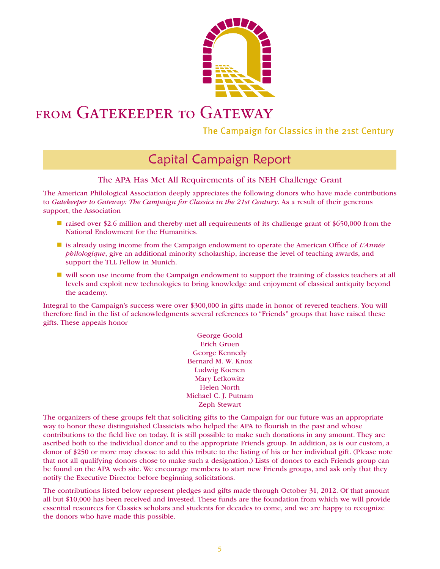

The Campaign for Classics in the 21st Century

## Capital Campaign Report

### The APA Has Met All Requirements of its NEH Challenge Grant

The American Philological Association deeply appreciates the following donors who have made contributions to *Gatekeeper to Gateway: The Campaign for Classics in the 21st Century*. As a result of their generous support, the Association

- **If** raised over \$2.6 million and thereby met all requirements of its challenge grant of \$650,000 from the National Endowment for the Humanities.
- **I** is already using income from the Campaign endowment to operate the American Office of *L'Année philologique*, give an additional minority scholarship, increase the level of teaching awards, and support the TLL Fellow in Munich.
- will soon use income from the Campaign endowment to support the training of classics teachers at all levels and exploit new technologies to bring knowledge and enjoyment of classical antiquity beyond the academy.

Integral to the Campaign's success were over \$300,000 in gifts made in honor of revered teachers. You will therefore find in the list of acknowledgments several references to "Friends" groups that have raised these gifts. These appeals honor

> George Goold Erich Gruen George Kennedy Bernard M. W. Knox Ludwig Koenen Mary Lefkowitz Helen North Michael C. J. Putnam Zeph Stewart

The organizers of these groups felt that soliciting gifts to the Campaign for our future was an appropriate way to honor these distinguished Classicists who helped the APA to flourish in the past and whose contributions to the field live on today. It is still possible to make such donations in any amount. They are ascribed both to the individual donor and to the appropriate Friends group. In addition, as is our custom, a donor of \$250 or more may choose to add this tribute to the listing of his or her individual gift. (Please note that not all qualifying donors chose to make such a designation.) Lists of donors to each Friends group can be found on the APA web site. We encourage members to start new Friends groups, and ask only that they notify the Executive Director before beginning solicitations.

The contributions listed below represent pledges and gifts made through October 31, 2012. Of that amount all but \$10,000 has been received and invested. These funds are the foundation from which we will provide essential resources for Classics scholars and students for decades to come, and we are happy to recognize the donors who have made this possible.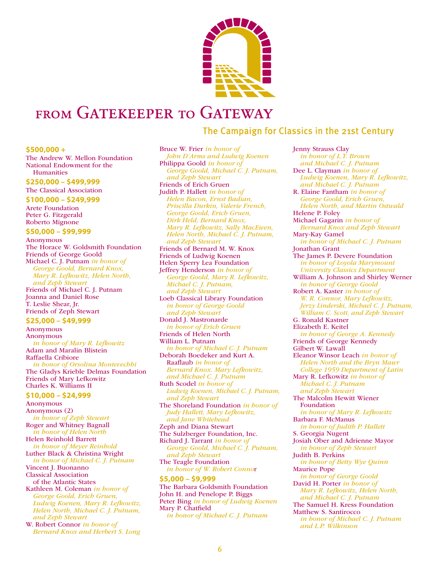

### The Campaign for Classics in the 21st Century

National Endowment for the Humanities **\$250,000 – \$499,999**  The Classical Association **\$100,000 – \$249,999**  Arete Foundation Peter G. Fitzgerald Roberto Mignone **\$50,000 – \$99,999**  Anonymous The Horace W. Goldsmith Foundation Friends of George Goold Michael C. J. Putnam *in honor of George Goold, Bernard Knox, Mary R. Lefkowitz, Helen North, and Zeph Stewart* Friends of Michael C. J. Putnam Joanna and Daniel Rose T. Leslie Shear, Jr. Friends of Zeph Stewart **\$25,000 – \$49,999**  Anonymous Anonymous *in honor of Mary R. Lefkowitz* Adam and Maralin Blistein Raffaella Cribiore *in honor of Orsolina Montevechhi* The Gladys Krieble Delmas Foundation Friends of Mary Lefkowitz Charles K. Williams II **\$10,000 – \$24,999**  Anonymous Anonymous (2) *in honor of Zeph Stewart* Roger and Whitney Bagnall *in honor of Helen North*

The Andrew W. Mellon Foundation

**\$500,000 +** 

Helen Reinhold Barrett *in honor of Meyer Reinhold* Luther Black & Christina Wright *in honor of Michael C. J. Putnam* Vincent J. Buonanno Classical Association of the Atlantic States Kathleen M. Coleman *in honor of George Goold, Erich Gruen, Ludwig Koenen, Mary R. Lefkowitz, Helen North, Michael C. J. Putnam,* 

*and Zeph Stewart* W. Robert Connor *in honor of Bernard Knox and Herbert S. Long*

Bruce W. Frier *in honor of John D'Arms and Ludwig Koenen* Philippa Goold *in honor of George Goold, Michael C. J. Putnam, and Zeph Stewart* Friends of Erich Gruen Judith P. Hallett *in honor of Helen Bacon, Ernst Badian, Priscilla Durkin, Valerie French, George Goold, Erich Gruen, Dirk Held, Bernard Knox, Mary R. Lefkowitz, Sally MacEwen, Helen North, Michael C. J. Putnam, and Zeph Stewart* Friends of Bernard M. W. Knox Friends of Ludwig Koenen Helen Sperry Lea Foundation Jeffrey Henderson *in honor of George Goold, Mary R. Lefkowitz, Michael C. J. Putnam, and Zeph Stewart* Loeb Classical Library Foundation *in honor of George Goold and Zeph Stewart* Donald J. Mastronarde *in honor of Erich Gruen* Friends of Helen North William L. Putnam *in honor of Michael C. J. Putnam* Deborah Boedeker and Kurt A. Raaflaub *in honor of Bernard Knox. Mary Lefkowitz, and Michael C. J. Putnam* Ruth Scodel *in honor of Ludwig Koenen, Michael C. J. Putnam, and Zeph Stewart* The Shoreland Foundation *in honor of Judy Hallett, Mary Lefkowitz, and Jane Whitehead* Zeph and Diana Stewart The Sulzberger Foundation, Inc. Richard J. Tarrant *in honor of George Goold, Michael C. J. Putnam, and Zeph Stewart* The Teagle Foundation *in honor of W. Robert Conno*r **\$5,000 – \$9,999**  The Barbara Goldsmith Foundation John H. and Penelope P. Biggs Peter Bing *in honor of Ludwig Koenen* Mary P. Chatfield *in honor of Michael C. J. Putnam*

Jenny Strauss Clay *in honor of L.T. Brown and Michael C. J. Putnam* Dee L. Clayman *in honor of Ludwig Koenen, Mary R. Lefkowitz, and Michael C. J. Putnam* R. Elaine Fantham *in honor of George Goold, Erich Gruen, Helen North, and Martin Ostwald* Helene P. Foley Michael Gagarin *in honor of Bernard Knox and Zeph Stewart* Mary-Kay Gamel *in honor of Michael C. J. Putnam* Jonathan Grant The James P. Devere Foundation *in honor of Loyola Marymount University Classics Department* William A. Johnson and Shirley Werner *in honor of George Goold* Robert A. Kaster *in honor of W. R. Connor, Mary Lefkowitz, Jerzy Linderski, Michael C. J. Putnam, William C. Scott, and Zeph Stewart* G. Ronald Kastner Elizabeth E. Keitel *in honor of George A. Kennedy* Friends of George Kennedy Gilbert W. Lawall Eleanor Winsor Leach *in honor of Helen North and the Bryn Mawr College 1959 Department of Latin* Mary R. Lefkowitz *in honor of Michael C. J. Putnam and Zeph Stewart* The Malcolm Hewitt Wiener Foundation *in honor of Mary R. Lefkowitz* Barbara F. McManus *in honor of Judith P. Hallett* S. Georgia Nugent Josiah Ober and Adrienne Mayor *in honor of Zeph Stewart* Judith B. Perkins *in honor of Betty Wye Quinn* Maurice Pope *in honor of George Goold* David H. Porter *in honor of Mary R. Lefkowitz, Helen North, and Michael C. J. Putnam* The Samuel H. Kress Foundation Matthew S. Santirocco *in honor of Michael C. J. Putnam and L.P. Wilkinson*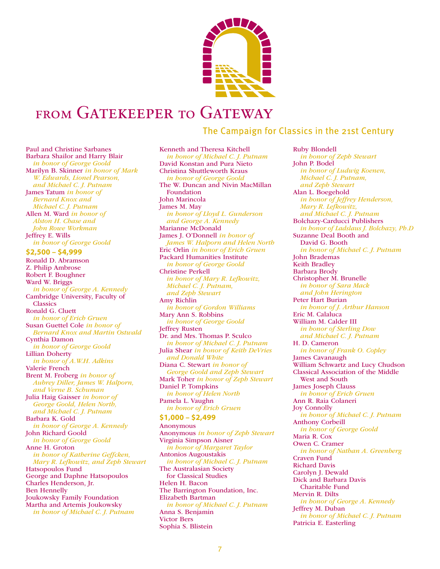

#### Paul and Christine Sarbanes Barbara Shailor and Harry Blair *in honor of George Goold* Marilyn B. Skinner *in honor of Mark W. Edwards, Lionel Pearson, and Michael C. J. Putnam* James Tatum *in honor of Bernard Knox and Michael C. J. Putnam* Allen M. Ward *in honor of Alston H. Chase and John Rowe Workman* Jeffrey E. Wills *in honor of George Goold* **\$2,500 – \$4,999**  Ronald D. Abramson Z. Philip Ambrose Robert F. Boughner Ward W. Briggs *in honor of George A. Kennedy* Cambridge University, Faculty of **Classics** Ronald G. Cluett *in honor of Erich Gruen* Susan Guettel Cole *in honor of Bernard Knox and Martin Ostwald* Cynthia Damon *in honor of George Goold* Lillian Doherty *in honor of A.W.H. Adkins*

Valerie French Brent M. Froberg *in honor of Aubrey Diller, James W. Halporn, and Verne B. Schuman* Julia Haig Gaisser *in honor of George Goold, Helen North, and Michael C. J. Putnam* Barbara K. Gold *in honor of George A. Kennedy* John Richard Goold *in honor of George Goold* Anne H. Groton *in honor of Katherine Geffcken, Mary R. Lefkowitz, and Zeph Stewart* Hatsopoulos Fund George and Daphne Hatsopoulos Charles Henderson, Jr. Ben Hennelly Joukowsky Family Foundation Martha and Artemis Joukowsky *in honor of Michael C. J. Putnam*

### The Campaign for Classics in the 21st Century

Kenneth and Theresa Kitchell *in honor of Michael C. J. Putnam* David Konstan and Pura Nieto Christina Shuttleworth Kraus *in honor of George Goold* The W. Duncan and Nivin MacMillan Foundation John Marincola James M. May *in honor of Lloyd L. Gunderson and George A. Kennedy* Marianne McDonald James J. O'Donnell *in honor of James W. Halporn and Helen North* Eric Orlin *in honor of Erich Gruen* Packard Humanities Institute *in honor of George Goold* Christine Perkell *in honor of Mary R. Lefkowitz, Michael C. J. Putnam, and Zeph Stewart* Amy Richlin *in honor of Gordon Williams* Mary Ann S. Robbins *in honor of George Goold* Jeffrey Rusten Dr. and Mrs. Thomas P. Sculco *in honor of Michael C. J. Putnam* Julia Shear *in honor of Keith DeVries and Donald White* Diana C. Stewart *in honor of George Goold and Zeph Stewart* Mark Toher *in honor of Zeph Stewart* Daniel P. Tompkins *in honor of Helen North* Pamela L. Vaughn *in honor of Erich Gruen* **\$1,000 – \$2,499**  Anonymous Anonymous *in honor of Zeph Stewart* Virginia Simpson Aisner *in honor of Margaret Taylor* Antonios Augoustakis *in honor of Michael C. J. Putnam* The Australasian Society for Classical Studies

Helen H. Bacon The Barrington Foundation, Inc. Elizabeth Bartman *in honor of Michael C. J. Putnam* Anna S. Benjamin Victor Bers Sophia S. Blistein

Ruby Blondell *in honor of Zeph Stewart* John P. Bodel *in honor of Ludwig Koenen, Michael C. J. Putnam, and Zeph Stewart* Alan L. Boegehold *in honor of Jeffrey Henderson, Mary R. Lefkowitz, and Michael C. J. Putnam* Bolchazy-Carducci Publishers *in honor of Ladslaus J. Bolchazy, Ph.D* Suzanne Deal Booth and David G. Booth *in honor of Michael C. J. Putnam* John Brademas Keith Bradley Barbara Brody Christopher M. Brunelle *in honor of Sara Mack and John Herington* Peter Hart Burian *in honor of J. Arthur Hanson* Eric M. Calaluca William M. Calder III *in honor of Sterling Dow and Michael C. J. Putnam* H. D. Cameron *in honor of Frank O. Copley* James Cavanaugh William Schwartz and Lucy Chudson Classical Association of the Middle West and South James Joseph Clauss *in honor of Erich Gruen* Ann R. Raia Colaneri Joy Connolly *in honor of Michael C. J. Putnam* Anthony Corbeill *in honor of George Goold* Maria R. Cox Owen C. Cramer *in honor of Nathan A. Greenberg* Craven Fund Richard Davis Carolyn J. Dewald Dick and Barbara Davis Charitable Fund Mervin R. Dilts *in honor of George A. Kennedy* Jeffrey M. Duban *in honor of Michael C. J. Putnam* Patricia E. Easterling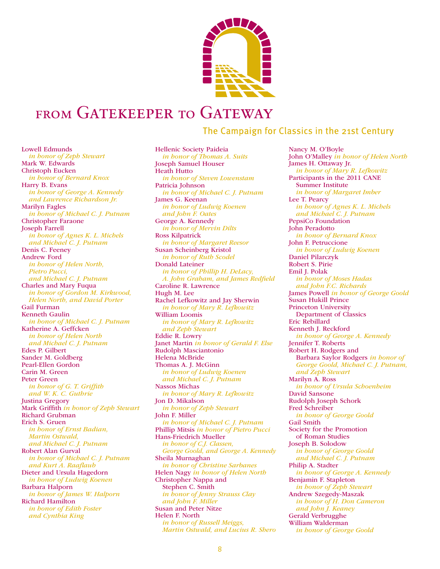

Hellenic Society Paideia

### The Campaign for Classics in the 21st Century

Lowell Edmunds *in honor of Zeph Stewart* Mark W. Edwards Christoph Eucken *in honor of Bernard Knox* Harry B. Evans *in honor of George A. Kennedy and Lawrence Richardson Jr.* Marilyn Fagles *in honor of Michael C. J. Putnam* Christopher Faraone Joseph Farrell *in honor of Agnes K. L. Michels and Michael C. J. Putnam* Denis C. Feeney Andrew Ford *in honor of Helen North, Pietro Pucci, and Michael C. J. Putnam* Charles and Mary Fuqua *in honor of Gordon M. Kirkwood, Helen North, and David Porter* Gail Furman Kenneth Gaulin *in honor of Michael C. J. Putnam* Katherine A. Geffcken *in honor of Helen North and Michael C. J. Putnam* Edes P. Gilbert Sander M. Goldberg Pearl-Ellen Gordon Carin M. Green Peter Green *in honor of G. T. Griffith and W. K. C. Guthrie* Justina Gregory Mark Griffith *in honor of Zeph Stewart* Richard Grubman Erich S. Gruen *in honor of Ernst Badian, Martin Ostwald, and Michael C. J. Putnam* Robert Alan Gurval *in honor of Michael C. J. Putnam and Kurt A. Raaflaub* Dieter and Ursula Hagedorn *in honor of Ludwig Koenen* Barbara Halporn *in honor of James W. Halporn* Richard Hamilton *in honor of Edith Foster and Cynthia King*

*in honor of Thomas A. Suits* Joseph Samuel Houser Heath Hutto *in honor of Steven Lowenstam* Patricia Johnson *in honor of Michael C. J. Putnam* James G. Keenan *in honor of Ludwig Koenen and John F. Oates* George A. Kennedy *in honor of Mervin Dilts* Ross Kilpatrick *in honor of Margaret Reesor* Susan Scheinberg Kristol *in honor of Ruth Scodel* Donald Lateiner *in honor of Phillip H. DeLacy, A. John Graham, and James Redfield* Caroline R. Lawrence Hugh M. Lee Rachel Lefkowitz and Jay Sherwin *in honor of Mary R. Lefkowitz* William Loomis *in honor of Mary R. Lefkowitz and Zeph Stewart* Eddie R. Lowry Janet Martin *in honor of Gerald F. Else* Rudolph Masciantonio Helena McBride Thomas A. J. McGinn *in honor of Ludwig Koenen and Michael C. J. Putnam* Nassos Michas *in honor of Mary R. Lefkowitz* Jon D. Mikalson *in honor of Zeph Stewart* John F. Miller *in honor of Michael C. J. Putnam* Phillip Mitsis *in honor of Pietro Pucci* Hans-Friedrich Mueller *in honor of C.J. Classen, George Goold, and George A. Kennedy* Sheila Murnaghan *in honor of Christine Sarbanes* Helen Nagy *in honor of Helen North* Christopher Nappa and Stephen C. Smith *in honor of Jenny Strauss Clay and John F. Miller* Susan and Peter Nitze Helen F. North *in honor of Russell Meiggs, Martin Ostwald, and Lucius R. Shero*

Nancy M. O'Boyle John O'Malley *in honor of Helen North* James H. Ottaway Jr. *in honor of Mary R. Lefkowitz* Participants in the 2011 CANE Summer Institute *in honor of Margaret Imber*  Lee T. Pearcy *in honor of Agnes K. L. Michels and Michael C. J. Putnam* PepsiCo Foundation John Peradotto *in honor of Bernard Knox* John F. Petruccione *in honor of Ludwig Koenen* Daniel Pilarczyk Robert S. Pirie Emil J. Polak *in honor of Moses Hadas and John F.C. Richards* James Powell *in honor of George Goold* Susan Hukill Prince Princeton University Department of Classics Eric Rebillard Kenneth J. Reckford *in honor of George A. Kennedy* Jennifer T. Roberts Robert H. Rodgers and Barbara Saylor Rodgers *in honor of George Goold, Michael C. J. Putnam, and Zeph Stewart* Marilyn A. Ross *in honor of Ursula Schoenheim* David Sansone Rudolph Joseph Schork Fred Schreiber *in honor of George Goold* Gail Smith Society for the Promotion of Roman Studies Joseph B. Solodow *in honor of George Goold and Michael C. J. Putnam* Philip A. Stadter *in honor of George A. Kennedy* Benjamin F. Stapleton *in honor of Zeph Stewart* Andrew Szegedy-Maszak *in honor of H. Don Cameron and John J. Keaney* Gerald Verbrugghe William Walderman *in honor of George Goold*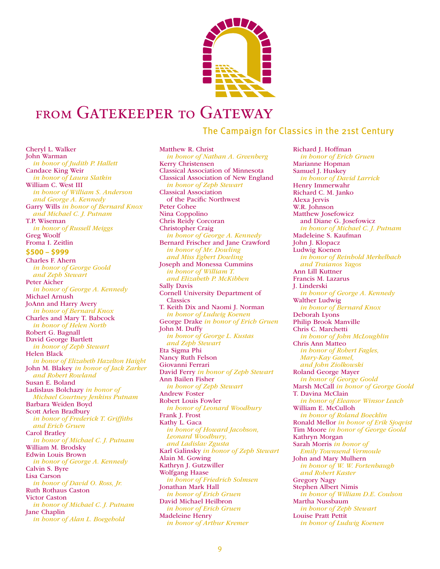

Cheryl L. Walker John Warman *in honor of Judith P. Hallett* Candace King Weir *in honor of Laura Slatkin* William C. West III *in honor of William S. Anderson and George A. Kennedy* Garry Wills *in honor of Bernard Knox and Michael C. J. Putnam* T.P. Wiseman *in honor of Russell Meiggs* Greg Woolf Froma I. Zeitlin **\$500 – \$999**  Charles F. Ahern *in honor of George Goold and Zeph Stewart* Peter Aicher *in honor of George A. Kennedy* Michael Arnush JoAnn and Harry Avery *in honor of Bernard Knox* Charles and Mary T. Babcock *in honor of Helen North* Robert G. Bagnall David George Bartlett *in honor of Zeph Stewart* Helen Black *in honor of Elizabeth Hazelton Haight* John M. Blakey *in honor of Jack Zarker and Robert Rowland* Susan E. Boland Ladislaus Bolchazy *in honor of Michael Courtney Jenkins Putnam* Barbara Weiden Boyd Scott Arlen Bradbury *in honor of Frederick T. Griffiths and Erich Gruen* Carol Bratley *in honor of Michael C. J. Putnam* William M. Brodsky Edwin Louis Brown *in honor of George A. Kennedy* Calvin S. Byre Lisa Carson *in honor of David O. Ross, Jr.* Ruth Rothaus Caston Victor Caston *in honor of Michael C. J. Putnam* Jane Chaplin *in honor of Alan L. Boegehold*

### The Campaign for Classics in the 21st Century

Matthew R. Christ *in honor of Nathan A. Greenberg* Kerry Christensen Classical Association of Minnesota Classical Association of New England *in honor of Zeph Stewart* Classical Association of the Pacific Northwest Peter Cohee Nina Coppolino Chris Reidy Corcoran Christopher Craig *in honor of George A. Kennedy* Bernard Frischer and Jane Crawford *in honor of Mr. Dowling and Miss Egbert Dowling* Joseph and Monessa Cummins *in honor of William T. and Elizabeth P. McKibben* Sally Davis Cornell University Department of **Classics** T. Keith Dix and Naomi J. Norman *in honor of Ludwig Koenen* George Drake *in honor of Erich Gruen* John M. Duffy *in honor of George L. Kustas and Zeph Stewart* Eta Sigma Phi Nancy Ruth Felson Giovanni Ferrari David Ferry *in honor of Zeph Stewart* Ann Bailen Fisher *in honor of Zeph Stewart* Andrew Foster Robert Louis Fowler *in honor of Leonard Woodbury* Frank J. Frost Kathy L. Gaca *in honor of Howard Jacobson, Leonard Woodbury, and Ladislav Zgusta* Karl Galinsky *in honor of Zeph Stewart* Alain M. Gowing Kathryn J. Gutzwiller Wolfgang Haase *in honor of Friedrich Solmsen* Jonathan Mark Hall *in honor of Erich Gruen* David Michael Heilbron *in honor of Erich Gruen* Madeleine Henry *in honor of Arthur Kremer*

Richard J. Hoffman *in honor of Erich Gruen* Marianne Hopman Samuel J. Huskey *in honor of David Larrick* Henry Immerwahr Richard C. M. Janko Alexa Jervis W.R. Johnson Matthew Josefowicz and Diane G. Josefowicz *in honor of Michael C. J. Putnam* Madeleine S. Kaufman John J. Klopacz Ludwig Koenen *in honor of Reinhold Merkelbach and Traianos Yagos* Ann Lill Kuttner Francis M. Lazarus J. Linderski *in honor of George A. Kennedy* Walther Ludwig *in honor of Bernard Knox* Deborah Lyons Philip Brook Manville Chris C. Marchetti *in honor of John McLoughlin* Chris Ann Matteo *in honor of Robert Fagles, Mary-Kay Gamel, and John Ziolkowski* Roland George Mayer *in honor of George Goold* Marsh McCall *in honor of George Goold* T. Davina McClain *in honor of Eleanor Winsor Leach* William E. McCulloh *in honor of Roland Boecklin* Ronald Mellor *in honor of Erik Sjoqvist* Tim Moore *in honor of George Goold* Kathryn Morgan Sarah Morris *in honor of Emily Townsend Vermoule* John and Mary Mulhern *in honor of W. W. Fortenbaugh and Robert Kaster* Gregory Nagy Stephen Albert Nimis *in honor of William D.E. Coulson* Martha Nussbaum *in honor of Zeph Stewart* Louise Pratt Pettit *in honor of Ludwig Koenen*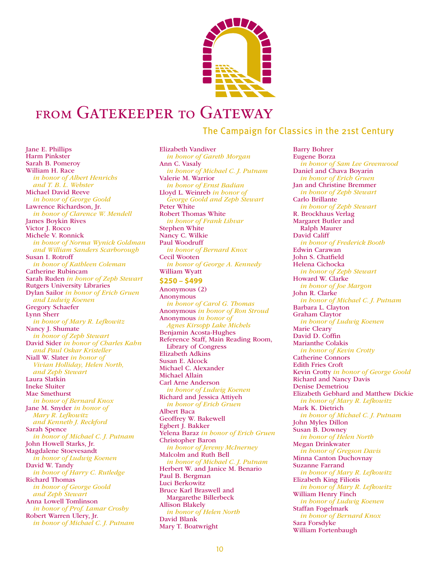

The Campaign for Classics in the 21st Century

# FROM GATEKEEPER TO GATEWAY

Jane E. Phillips Harm Pinkster Sarah B. Pomeroy William H. Race *in honor of Albert Henrichs and T. B. L. Webster* Michael David Reeve *in honor of George Goold* Lawrence Richardson, Jr. *in honor of Clarence W. Mendell* James Boykin Rives Victor J. Rocco Michele V. Ronnick *in honor of Norma Wynick Goldman and William Sanders Scarborough* Susan I. Rotroff *in honor of Kathleen Coleman* Catherine Rubincam Sarah Ruden *in honor of Zeph Stewart* Rutgers University Libraries Dylan Sailor *in honor of Erich Gruen and Ludwig Koenen* Gregory Schaefer Lynn Sherr *in honor of Mary R. Lefkowitz* Nancy J. Shumate *in honor of Zeph Stewart* David Sider *in honor of Charles Kahn and Paul Oskar Kristeller* Niall W. Slater *in honor of Vivian Holliday, Helen North, and Zeph Stewart* Laura Slatkin Ineke Sluiter Mae Smethurst *in honor of Bernard Knox* Jane M. Snyder *in honor of Mary R. Lefkowitz and Kenneth J. Reckford* Sarah Spence *in honor of Michael C. J. Putnam* John Howell Starks, Jr. Magdalene Stoevesandt *in honor of Ludwig Koenen* David W. Tandy *in honor of Harry C. Rutledge* Richard Thomas *in honor of George Goold and Zeph Stewart* Anna Lowell Tomlinson *in honor of Prof. Lamar Crosby* Robert Warren Ulery, Jr. *in honor of Michael C. J. Putnam*

Elizabeth Vandiver *in honor of Gareth Morgan* Ann C. Vasaly *in honor of Michael C. J. Putnam* Valerie M. Warrior *in honor of Ernst Badian* Lloyd L. Weinreb *in honor of George Goold and Zeph Stewart* Peter White Robert Thomas White *in honor of Frank Lihvar* Stephen White Nancy C. Wilkie Paul Woodruff *in honor of Bernard Knox* Cecil Wooten *in honor of George A. Kennedy* William Wyatt **\$250 – \$499**  Anonymous (2) Anonymous *in honor of Carol G. Thomas* Anonymous *in honor of Ron Stroud* Anonymous *in honor of Agnes Kirsopp Lake Michels* Benjamin Acosta-Hughes Reference Staff, Main Reading Room, Library of Congress Elizabeth Adkins Susan E. Alcock Michael C. Alexander Michael Allain Carl Arne Anderson *in honor of Ludwig Koenen* Richard and Jessica Attiyeh *in honor of Erich Gruen* Albert Baca Geoffrey W. Bakewell Egbert J. Bakker Yelena Baraz *in honor of Erich Gruen* Christopher Baron *in honor of Jeremy McInerney* Malcolm and Ruth Bell *in honor of Michael C. J. Putnam* Herbert W. and Janice M. Benario Paul B. Bergman Luci Berkowitz Bruce Karl Braswell and Margarethe Billerbeck Allison Blakely *in honor of Helen North* David Blank Mary T. Boatwright

Barry Bohrer Eugene Borza *in honor of Sam Lee Greenwood* Daniel and Chava Boyarin *in honor of Erich Gruen* Jan and Christine Bremmer *in honor of Zeph Stewart* Carlo Brillante *in honor of Zeph Stewart* R. Brockhaus Verlag Margaret Butler and Ralph Maurer David Califf *in honor of Frederick Booth* Edwin Carawan John S. Chatfield Helena Cichocka *in honor of Zeph Stewart* Howard W. Clarke *in honor of Joe Margon* John R. Clarke *in honor of Michael C. J. Putnam* Barbara L. Clayton Graham Claytor *in honor of Ludwig Koenen* Marie Cleary David D. Coffin Marianthe Colakis *in honor of Kevin Crotty* Catherine Connors Edith Fries Croft Kevin Crotty *in honor of George Goold* Richard and Nancy Davis Denise Demetriou Elizabeth Gebhard and Matthew Dickie *in honor of Mary R. Lefkowitz* Mark K. Dietrich *in honor of Michael C. J. Putnam* John Myles Dillon Susan B. Downey *in honor of Helen North* Megan Drinkwater *in honor of Gregson Davis* Minna Canton Duchovnay Suzanne Farrand *in honor of Mary R. Lefkowitz* Elizabeth King Filiotis *in honor of Mary R. Lefkowitz* William Henry Finch *in honor of Ludwig Koenen* Staffan Fogelmark *in honor of Bernard Knox* Sara Forsdyke William Fortenbaugh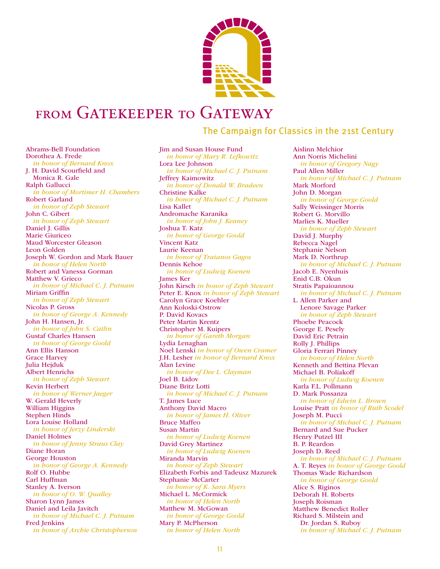

Jim and Susan House Fund

# FROM GATEKEEPER TO GATEWAY

### The Campaign for Classics in the 21st Century

Abrams-Bell Foundation Dorothea A. Frede *in honor of Bernard Knox* J. H. David Scourfield and Monica R. Gale Ralph Gallucci *in honor of Mortimer H. Chambers* Robert Garland *in honor of Zeph Stewart* John C. Gibert *in honor of Zeph Stewart* Daniel J. Gillis Marie Giuriceo Maud Worcester Gleason Leon Golden Joseph W. Gordon and Mark Bauer *in honor of Helen North* Robert and Vanessa Gorman Matthew V. Grieco *in honor of Michael C. J. Putnam* Miriam Griffin *in honor of Zeph Stewart* Nicolas P. Gross *in honor of George A. Kennedy* John H. Hansen, Jr. *in honor of John S. Catlin* Gustaf Charles Hansen *in honor of George Goold* Ann Ellis Hanson Grace Harvey Julia Hejduk Albert Henrichs *in honor of Zeph Stewart* Kevin Herbert *in honor of Werner Jaeger* W. Gerald Heverly William Higgins Stephen Hinds Lora Louise Holland *in honor of Jerzy Linderski* Daniel Holmes *in honor of Jenny Straus Clay* Diane Horan George Houston *in honor of George A. Kennedy* Rolf O. Hubbe Carl Huffman Stanley A. Iverson *in honor of O. W. Qualley* Sharon Lynn James Daniel and Leila Javitch *in honor of Michael C. J. Putnam* Fred Jenkins *in honor of Archie Christopherson*

*in honor of Mary R. Lefkowitz* Lora Lee Johnson *in honor of Michael C. J. Putnam* Jeffrey Kaimowitz *in honor of Donald W. Bradeen* Christine Kalke *in honor of Michael C. J. Putnam* Lisa Kallet Andromache Karanika *in honor of John J. Keaney* Joshua T. Katz *in honor of George Goold* Vincent Katz Laurie Keenan *in honor of Traianos Gagos* Dennis Kehoe *in honor of Ludwig Koenen* James Ker John Kirsch *in honor of Zeph Stewart* Peter E. Knox *in honor of Zeph Stewart* Carolyn Grace Koehler Ann Koloski-Ostrow P. David Kovacs Peter Martin Krentz Christopher M. Kuipers *in honor of Gareth Morgan* Lydia Lenaghan Noel Lenski *in honor of Owen Cramer* J.H. Lesher *in honor of Bernard Knox* Alan Levine *in honor of Dee L. Clayman* Joel B. Lidov Diane Britz Lotti *in honor of Michael C. J. Putnam* T. James Luce Anthony David Macro *in honor of James H. Oliver* Bruce Maffeo Susan Martin *in honor of Ludwig Koenen* David Grey Martinez *in honor of Ludwig Koenen* Miranda Marvin *in honor of Zeph Stewart* Elizabeth Forbis and Tadeusz Mazurek Stephanie McCarter *in honor of K. Sara Myers* Michael L. McCormick *in honor of Helen North* Matthew M. McGowan *in honor of George Goold* Mary P. McPherson *in honor of Helen North*

Aislinn Melchior Ann Norris Michelini *in honor of Gregory Nagy* Paul Allen Miller *in honor of Michael C. J. Putnam* Mark Morford John D. Morgan *in honor of George Goold* Sally Weissinger Morris Robert G. Morvillo Marlies K. Mueller *in honor of Zeph Stewart* David J. Murphy Rebecca Nagel Stephanie Nelson Mark D. Northrup *in honor of Michael C. J. Putnam* Jacob E. Nyenhuis Enid C.B. Okun Stratis Papaioannou *in honor of Michael C. J. Putnam* L. Allen Parker and Lenore Savage Parker *in honor of Zeph Stewart* Phoebe Peacock George E. Pesely David Eric Petrain Rolly J. Phillips Gloria Ferrari Pinney *in honor of Helen North* Kenneth and Bettina Plevan Michael B. Poliakoff *in honor of Ludwig Koenen* Karla F.L. Pollmann D. Mark Possanza *in honor of Edwin L. Brown* Louise Pratt *in honor of Ruth Scodel* Joseph M. Pucci *in honor of Michael C. J. Putnam* Bernard and Sue Pucker Henry Putzel III B. P. Reardon Joseph D. Reed *in honor of Michael C. J. Putnam* A. T. Reyes *in honor of George Goold* Thomas Wade Richardson *in honor of George Goold* Alice S. Riginos Deborah H. Roberts Joseph Roisman Matthew Benedict Roller Richard S. Milstein and Dr. Jordan S. Ruboy *in honor of Michael C. J. Putnam*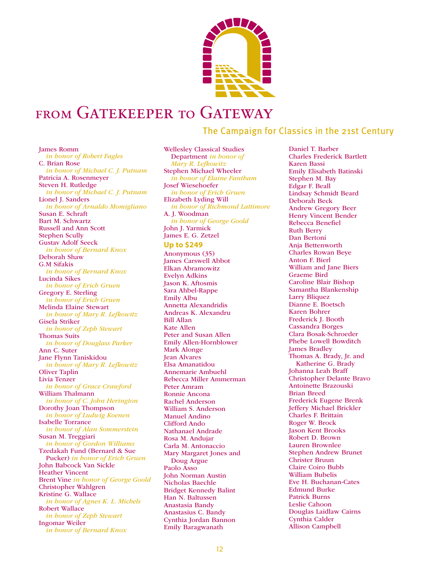

### The Campaign for Classics in the 21st Century

James Romm *in honor of Robert Fagles* C. Brian Rose *in honor of Michael C. J. Putnam* Patricia A. Rosenmeyer Steven H. Rutledge *in honor of Michael C. J. Putnam* Lionel J. Sanders *in honor of Arnaldo Momigliano* Susan E. Schraft Bart M. Schwartz Russell and Ann Scott Stephen Scully Gustav Adolf Seeck *in honor of Bernard Knox* Deborah Shaw G.M Sifakis *in honor of Bernard Knox* Lucinda Sikes *in honor of Erich Gruen* Gregory E. Sterling *in honor of Erich Gruen* Melinda Elaine Stewart *in honor of Mary R. Lefkowitz* Gisela Striker *in honor of Zeph Stewart* Thomas Suits *in honor of Douglass Parker* Ann C. Suter Jane Flynn Taniskidou *in honor of Mary R. Lefkowitz* Oliver Taplin Livia Tenzer *in honor of Grace Crawford* William Thalmann *in honor of C. John Herington* Dorothy Joan Thompson *in honor of Ludwig Koenen* Isabelle Torrance *in honor of Alan Sommerstein* Susan M. Treggiari *in honor of Gordon Williams* Tzedakah Fund (Bernard & Sue Pucker) *in honor of Erich Gruen* John Babcock Van Sickle Heather Vincent Brent Vine *in honor of George Goold* Christopher Wahlgren Kristine G. Wallace *in honor of Agnes K. L. Michels* Robert Wallace *in honor of Zeph Stewart* Ingomar Weiler *in honor of Bernard Knox*

Wellesley Classical Studies Department *in honor of Mary R. Lefkowitz* Stephen Michael Wheeler *in honor of Elaine Fantham* Josef Wiesehoefer *in honor of Erich Gruen* Elizabeth Lyding Will *in honor of Richmond Lattimore* A. J. Woodman *in honor of George Goold* John J. Yarmick James E. G. Zetzel

### **Up to \$249**

Anonymous (35) James Carswell Abbot Elkan Abramowitz Evelyn Adkins Jason K. Aftosmis Sara Ahbel-Rappe Emily Albu Annetta Alexandridis Andreas K. Alexandru Bill Allan Kate Allen Peter and Susan Allen Emily Allen-Hornblower Mark Alonge Jean Alvares Elsa Amanatidou Annemarie Ambuehl Rebecca Miller Ammerman Peter Amram Ronnie Ancona Rachel Anderson William S. Anderson Manuel Andino Clifford Ando Nathanael Andrade Rosa M. Andujar Carla M. Antonaccio Mary Margaret Jones and Doug Argue Paolo Asso John Norman Austin Nicholas Baechle Bridget Kennedy Balint Han N. Baltussen Anastasia Bandy Anastasius C. Bandy Cynthia Jordan Bannon Emily Baragwanath

Daniel T. Barber Charles Frederick Bartlett Karen Bassi Emily Elisabeth Batinski Stephen M. Bay Edgar F. Beall Lindsay Schmidt Beard Deborah Beck Andrew Gregory Beer Henry Vincent Bender Rebecca Benefiel Ruth Berry Dan Bertoni Anja Bettenworth Charles Rowan Beye Anton F. Bierl William and Jane Biers Graeme Bird Caroline Blair Bishop Samantha Blankenship Larry Bliquez Dianne E. Boetsch Karen Bohrer Frederick J. Booth Cassandra Borges Clara Bosak-Schroeder Phebe Lowell Bowditch James Bradley Thomas A. Brady, Jr. and Katherine G. Brady Johanna Leah Braff Christopher Delante Bravo Antoinette Brazouski Brian Breed Frederick Eugene Brenk Jeffery Michael Brickler Charles F. Brittain Roger W. Brock Jason Kent Brooks Robert D. Brown Lauren Brownlee Stephen Andrew Brunet Christer Bruun Claire Coiro Bubb William Bubelis Eve H. Buchanan-Cates Edmund Burke Patrick Burns Leslie Cahoon Douglas Laidlaw Cairns Cynthia Calder Allison Campbell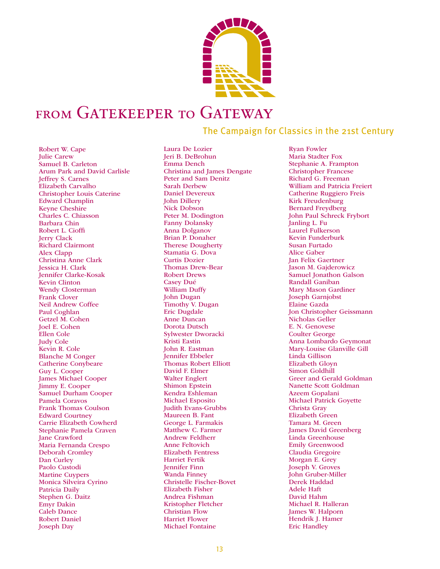

### The Campaign for Classics in the 21st Century

Robert W. Cape Julie Carew Samuel B. Carleton Arum Park and David Carlisle Jeffrey S. Carnes Elizabeth Carvalho Christopher Louis Caterine Edward Champlin Keyne Cheshire Charles C. Chiasson Barbara Chin Robert L. Cioffi Jerry Clack Richard Clairmont Alex Clapp Christina Anne Clark Jessica H. Clark Jennifer Clarke-Kosak Kevin Clinton Wendy Closterman Frank Clover Neil Andrew Coffee Paul Coghlan Getzel M. Cohen Joel E. Cohen Ellen Cole Judy Cole Kevin R. Cole Blanche M Conger Catherine Conybeare Guy L. Cooper James Michael Cooper Jimmy E. Cooper Samuel Durham Cooper Pamela Coravos Frank Thomas Coulson Edward Courtney Carrie Elizabeth Cowherd Stephanie Pamela Craven Jane Crawford Maria Fernanda Crespo Deborah Cromley Dan Curley Paolo Custodi Martine Cuypers Monica Silveira Cyrino Patricia Daily Stephen G. Daitz Emyr Dakin Caleb Dance Robert Daniel Joseph Day

Laura De Lozier Jeri B. DeBrohun Emma Dench Christina and James Dengate Peter and Sam Denitz Sarah Derbew Daniel Devereux John Dillery Nick Dobson Peter M. Dodington Fanny Dolansky Anna Dolganov Brian P. Donaher Therese Dougherty Stamatia G. Dova Curtis Dozier Thomas Drew-Bear Robert Drews Casey Dué William Duffy John Dugan Timothy V. Dugan Eric Dugdale Anne Duncan Dorota Dutsch Sylwester Dworacki Kristi Eastin John R. Eastman Jennifer Ebbeler Thomas Robert Elliott David F. Elmer Walter Englert Shimon Epstein Kendra Eshleman Michael Esposito Judith Evans-Grubbs Maureen B. Fant George L. Farmakis Matthew C. Farmer Andrew Feldherr Anne Feltovich Elizabeth Fentress Harriet Fertik Jennifer Finn Wanda Finney Christelle Fischer-Bovet Elizabeth Fisher Andrea Fishman Kristopher Fletcher Christian Flow Harriet Flower Michael Fontaine

Ryan Fowler Maria Stadter Fox Stephanie A. Frampton Christopher Francese Richard G. Freeman William and Patricia Freiert Catherine Ruggiero Freis Kirk Freudenburg Bernard Freydberg John Paul Schreck Frybort Janling L. Fu Laurel Fulkerson Kevin Funderburk Susan Furtado Alice Gaber Jan Felix Gaertner Jason M. Gajderowicz Samuel Jonathon Galson Randall Ganiban Mary Mason Gardiner Joseph Garnjobst Elaine Gazda Jon Christopher Geissmann Nicholas Geller E. N. Genovese Coulter George Anna Lombardo Geymonat Mary-Louise Glanville Gill Linda Gillison Elizabeth Gloyn Simon Goldhill Greer and Gerald Goldman Nanette Scott Goldman Azeem Gopalani Michael Patrick Goyette Christa Gray Elizabeth Green Tamara M. Green James David Greenberg Linda Greenhouse Emily Greenwood Claudia Gregoire Morgan E. Grey Joseph V. Groves John Gruber-Miller Derek Haddad Adele Haft David Hahm Michael R. Halleran James W. Halporn Hendrik J. Hamer Eric Handley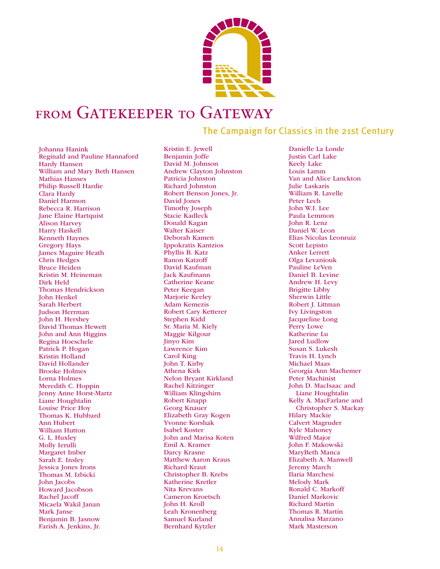

### The Campaign for Classics in the 21st Century

Johanna Hanink Reginald and Pauline Hannaford Hardy Hansen William and Mary Beth Hansen Mathias Hanses Philip Russell Hardie Clara Hardy Daniel Harmon Rebecca R. Harrison Jane Elaine Hartquist Alison Harvey Harry Haskell Kenneth Haynes Gregory Hays James Maguire Heath Chris Hedges Bruce Heiden Kristin M. Heineman Dirk Held Thomas Hendrickson John Henkel Sarah Herbert Judson Herrman John H. Hershey David Thomas Hewett John and Ann Higgins Regina Hoeschele Patrick P. Hogan Kristin Holland David Hollander Brooke Holmes Lorna Holmes Meredith C. Hoppin Jenny Anne Horst-Martz Liane Houghtalin Louise Price Hoy Thomas K. Hubbard Ann Hubert William Hutton G. L. Huxley Molly Ierulli Margaret Imber Sarah E. Insley Jessica Jones Irons Thomas M. Izbicki John Jacobs Howard Jacobson Rachel Jacoff Micaela Wakil Janan Mark Janse Benjamin B. Jasnow Farish A. Jenkins, Jr.

Kristin E. Jewell Benjamin Joffe David M. Johnson Andrew Clayton Johnston Patricia Johnston Richard Johnston Robert Benson Jones, Jr. David Jones Timothy Joseph Stacie Kadleck Donald Kagan Walter Kaiser Deborah Kamen Ippokratis Kantzios Phyllis B. Katz Ranon Katzoff David Kaufman Jack Kaufmann Catherine Keane Peter Keegan Marjorie Keeley Adam Kemezis Robert Cary Ketterer Stephen Kidd Sr. Maria M. Kiely Maggie Kilgour Jinyo Kim Lawrence Kim Carol King John T. Kirby Athena Kirk Nelon Bryant Kirkland Rachel Kitzinger William Klingshirn Robert Knapp Georg Knauer Elizabeth Gray Kogen Yvonne Korshak Isabel Koster John and Marisa Koten Emil A. Kramer Darcy Krasne Matthew Aaron Kraus Richard Kraut Christopher B. Krebs Katherine Kretler Nita Krevans Cameron Kroetsch John H. Kroll Leah Kronenberg Samuel Kurland Bernhard Kytzler

Danielle La Londe Justin Carl Lake Keely Lake Louis Lamm Van and Alice Lanckton Julie Laskaris William R. Lavelle Peter Lech John W.I. Lee Paula Lemmon John R. Lenz Daniel W. Leon Elias Nicolas Leonruiz Scott Lepisto Anker Lerrett Olga Levaniouk Pauline LeVen Daniel B. Levine Andrew H. Levy Brigitte Libby Sherwin Little Robert J. Littman Ivy Livingston Jacqueline Long Perry Lowe Katherine Lu Jared Ludlow Susan S. Lukesh Travis H. Lynch Michael Maas Georgia Ann Machemer Peter Machinist John D. MacIsaac and Liane Houghtalin Kelly A. MacFarlane and Christopher S. Mackay Hilary Mackie Calvert Magruder Kyle Mahoney Wilfred Major John F. Makowski MaryBeth Manca Elizabeth A. Manwell Jeremy March Ilaria Marchesi Melody Mark Ronald C. Markoff Daniel Markovic Richard Martin Thomas R. Martin Annalisa Marzano Mark Masterson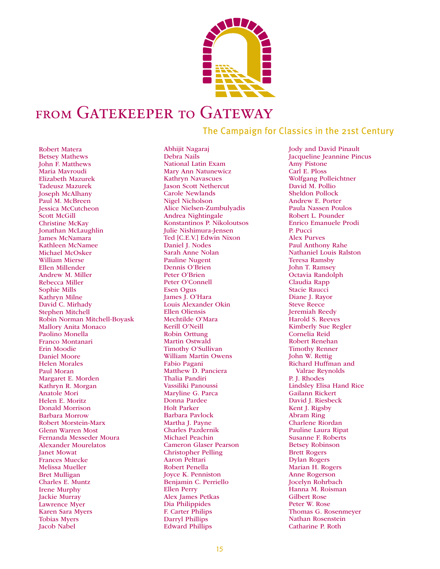

### The Campaign for Classics in the 21st Century

Robert Matera Betsey Mathews John F. Matthews Maria Mavroudi Elizabeth Mazurek Tadeusz Mazurek Joseph McAlhany Paul M. McBreen Jessica McCutcheon Scott McGill Christine McKay Jonathan McLaughlin James McNamara Kathleen McNamee Michael McOsker William Mierse Ellen Millender Andrew M. Miller Rebecca Miller Sophie Mills Kathryn Milne David C. Mirhady Stephen Mitchell Robin Norman Mitchell-Boyask Mallory Anita Monaco Paolino Monella Franco Montanari Erin Moodie Daniel Moore Helen Morales Paul Moran Margaret E. Morden Kathryn R. Morgan Anatole Mori Helen E. Moritz Donald Morrison Barbara Morrow Robert Morstein-Marx Glenn Warren Most Fernanda Messeder Moura Alexander Mourelatos Janet Mowat Frances Muecke Melissa Mueller Bret Mulligan Charles E. Muntz Irene Murphy Jackie Murray Lawrence Myer Karen Sara Myers Tobias Myers Jacob Nabel

Abhijit Nagaraj Debra Nails National Latin Exam Mary Ann Natunewicz Kathryn Navascues Jason Scott Nethercut Carole Newlands Nigel Nicholson Alice Nielsen-Zumbulyadis Andrea Nightingale Konstantinos P. Nikoloutsos Julie Nishimura-Jensen Ted [C.E.V.] Edwin Nixon Daniel J. Nodes Sarah Anne Nolan Pauline Nugent Dennis O'Brien Peter O'Brien Peter O'Connell Esen Ogus James J. O'Hara Louis Alexander Okin Ellen Oliensis Mechtilde O'Mara Kerill O'Neill Robin Orttung Martin Ostwald Timothy O'Sullivan William Martin Owens Fabio Pagani Matthew D. Panciera Thalia Pandiri Vassiliki Panoussi Maryline G. Parca Donna Pardee Holt Parker Barbara Pavlock Martha J. Payne Charles Pazdernik Michael Peachin Cameron Glaser Pearson Christopher Pelling Aaron Pelttari Robert Penella Joyce K. Penniston Benjamin C. Perriello Ellen Perry Alex James Petkas Dia Philippides F. Carter Philips Darryl Phillips Edward Phillips

Jody and David Pinault Jacqueline Jeannine Pincus Amy Pistone Carl E. Ploss Wolfgang Polleichtner David M. Pollio Sheldon Pollock Andrew E. Porter Paula Nassen Poulos Robert L. Pounder Enrico Emanuele Prodi P. Pucci Alex Purves Paul Anthony Rahe Nathaniel Louis Ralston Teresa Ramsby John T. Ramsey Octavia Randolph Claudia Rapp Stacie Raucci Diane J. Rayor Steve Reece Jeremiah Reedy Harold S. Reeves Kimberly Sue Regler Cornelia Reid Robert Renehan Timothy Renner John W. Rettig Richard Huffman and Valrae Reynolds P. J. Rhodes Lindsley Elisa Hand Rice Gailann Rickert David J. Riesbeck Kent J. Rigsby Abram Ring Charlene Riordan Pauline Laura Ripat Susanne F. Roberts Betsey Robinson Brett Rogers Dylan Rogers Marian H. Rogers Anne Rogerson Jocelyn Rohrbach Hanna M. Roisman Gilbert Rose Peter W. Rose Thomas G. Rosenmeyer Nathan Rosenstein Catharine P. Roth